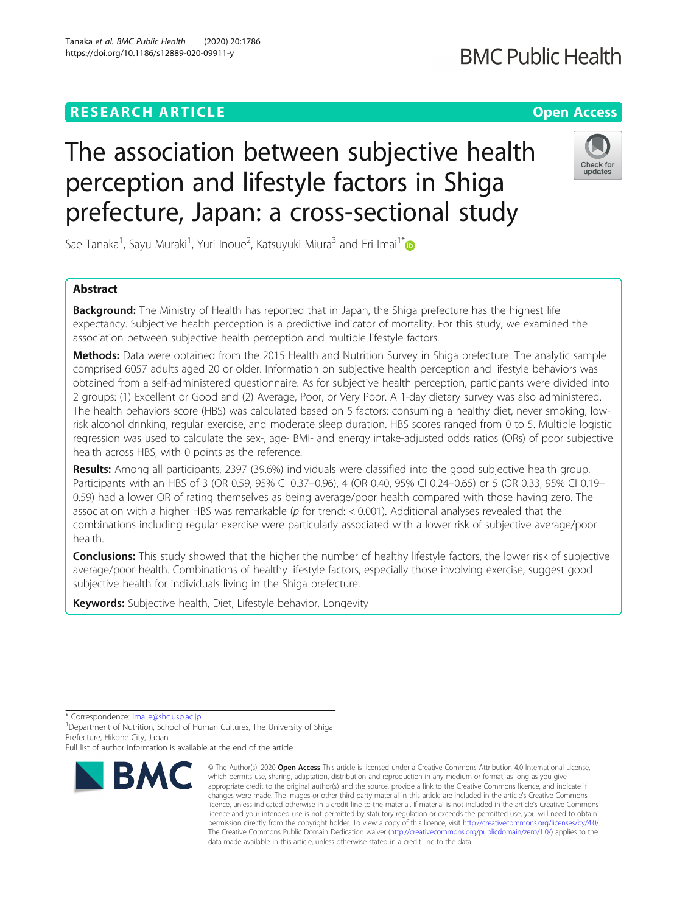# **RESEARCH ARTICLE Example 2014 12:30 The Contract of Contract ACCESS**

# **BMC Public Health**

# The association between subjective health perception and lifestyle factors in Shiga prefecture, Japan: a cross-sectional study



Sae Tanaka<sup>1</sup>, Sayu Muraki<sup>1</sup>, Yuri Inoue<sup>2</sup>, Katsuyuki Miura<sup>3</sup> and Eri Imai<sup>1\*</sup>

# Abstract

**Background:** The Ministry of Health has reported that in Japan, the Shiga prefecture has the highest life expectancy. Subjective health perception is a predictive indicator of mortality. For this study, we examined the association between subjective health perception and multiple lifestyle factors.

Methods: Data were obtained from the 2015 Health and Nutrition Survey in Shiga prefecture. The analytic sample comprised 6057 adults aged 20 or older. Information on subjective health perception and lifestyle behaviors was obtained from a self-administered questionnaire. As for subjective health perception, participants were divided into 2 groups: (1) Excellent or Good and (2) Average, Poor, or Very Poor. A 1-day dietary survey was also administered. The health behaviors score (HBS) was calculated based on 5 factors: consuming a healthy diet, never smoking, lowrisk alcohol drinking, regular exercise, and moderate sleep duration. HBS scores ranged from 0 to 5. Multiple logistic regression was used to calculate the sex-, age- BMI- and energy intake-adjusted odds ratios (ORs) of poor subjective health across HBS, with 0 points as the reference.

Results: Among all participants, 2397 (39.6%) individuals were classified into the good subjective health group. Participants with an HBS of 3 (OR 0.59, 95% CI 0.37–0.96), 4 (OR 0.40, 95% CI 0.24–0.65) or 5 (OR 0.33, 95% CI 0.19– 0.59) had a lower OR of rating themselves as being average/poor health compared with those having zero. The association with a higher HBS was remarkable ( $p$  for trend: < 0.001). Additional analyses revealed that the combinations including regular exercise were particularly associated with a lower risk of subjective average/poor health.

**Conclusions:** This study showed that the higher the number of healthy lifestyle factors, the lower risk of subjective average/poor health. Combinations of healthy lifestyle factors, especially those involving exercise, suggest good subjective health for individuals living in the Shiga prefecture.

Keywords: Subjective health, Diet, Lifestyle behavior, Longevity

\* Correspondence: [imai.e@shc.usp.ac.jp](mailto:imai.e@shc.usp.ac.jp) <sup>1</sup>

<sup>1</sup> Department of Nutrition, School of Human Cultures, The University of Shiga Prefecture, Hikone City, Japan

Full list of author information is available at the end of the article



<sup>©</sup> The Author(s), 2020 **Open Access** This article is licensed under a Creative Commons Attribution 4.0 International License, which permits use, sharing, adaptation, distribution and reproduction in any medium or format, as long as you give appropriate credit to the original author(s) and the source, provide a link to the Creative Commons licence, and indicate if changes were made. The images or other third party material in this article are included in the article's Creative Commons licence, unless indicated otherwise in a credit line to the material. If material is not included in the article's Creative Commons licence and your intended use is not permitted by statutory regulation or exceeds the permitted use, you will need to obtain permission directly from the copyright holder. To view a copy of this licence, visit [http://creativecommons.org/licenses/by/4.0/.](http://creativecommons.org/licenses/by/4.0/) The Creative Commons Public Domain Dedication waiver [\(http://creativecommons.org/publicdomain/zero/1.0/](http://creativecommons.org/publicdomain/zero/1.0/)) applies to the data made available in this article, unless otherwise stated in a credit line to the data.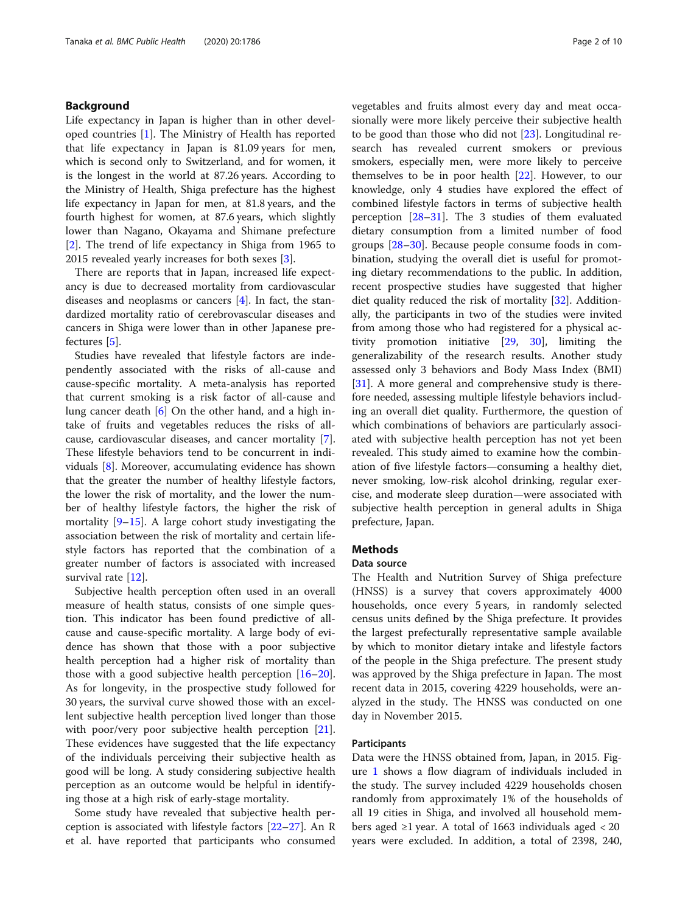# Background

Life expectancy in Japan is higher than in other developed countries [[1\]](#page-8-0). The Ministry of Health has reported that life expectancy in Japan is 81.09 years for men, which is second only to Switzerland, and for women, it is the longest in the world at 87.26 years. According to the Ministry of Health, Shiga prefecture has the highest life expectancy in Japan for men, at 81.8 years, and the fourth highest for women, at 87.6 years, which slightly lower than Nagano, Okayama and Shimane prefecture [[2\]](#page-8-0). The trend of life expectancy in Shiga from 1965 to 2015 revealed yearly increases for both sexes [[3\]](#page-8-0).

There are reports that in Japan, increased life expectancy is due to decreased mortality from cardiovascular diseases and neoplasms or cancers [\[4](#page-8-0)]. In fact, the standardized mortality ratio of cerebrovascular diseases and cancers in Shiga were lower than in other Japanese prefectures [[5\]](#page-8-0).

Studies have revealed that lifestyle factors are independently associated with the risks of all-cause and cause-specific mortality. A meta-analysis has reported that current smoking is a risk factor of all-cause and lung cancer death [[6\]](#page-8-0) On the other hand, and a high intake of fruits and vegetables reduces the risks of allcause, cardiovascular diseases, and cancer mortality [\[7](#page-8-0)]. These lifestyle behaviors tend to be concurrent in individuals [[8](#page-8-0)]. Moreover, accumulating evidence has shown that the greater the number of healthy lifestyle factors, the lower the risk of mortality, and the lower the number of healthy lifestyle factors, the higher the risk of mortality [\[9](#page-8-0)–[15\]](#page-8-0). A large cohort study investigating the association between the risk of mortality and certain lifestyle factors has reported that the combination of a greater number of factors is associated with increased survival rate [[12\]](#page-8-0).

Subjective health perception often used in an overall measure of health status, consists of one simple question. This indicator has been found predictive of allcause and cause-specific mortality. A large body of evidence has shown that those with a poor subjective health perception had a higher risk of mortality than those with a good subjective health perception  $[16–20]$  $[16–20]$  $[16–20]$  $[16–20]$  $[16–20]$ . As for longevity, in the prospective study followed for 30 years, the survival curve showed those with an excellent subjective health perception lived longer than those with poor/very poor subjective health perception [\[21](#page-8-0)]. These evidences have suggested that the life expectancy of the individuals perceiving their subjective health as good will be long. A study considering subjective health perception as an outcome would be helpful in identifying those at a high risk of early-stage mortality.

Some study have revealed that subjective health perception is associated with lifestyle factors [\[22](#page-8-0)–[27\]](#page-8-0). An R et al. have reported that participants who consumed vegetables and fruits almost every day and meat occasionally were more likely perceive their subjective health to be good than those who did not [[23\]](#page-8-0). Longitudinal research has revealed current smokers or previous smokers, especially men, were more likely to perceive themselves to be in poor health [\[22\]](#page-8-0). However, to our knowledge, only 4 studies have explored the effect of combined lifestyle factors in terms of subjective health perception [\[28](#page-8-0)–[31\]](#page-8-0). The 3 studies of them evaluated dietary consumption from a limited number of food groups [\[28](#page-8-0)–[30\]](#page-8-0). Because people consume foods in combination, studying the overall diet is useful for promoting dietary recommendations to the public. In addition, recent prospective studies have suggested that higher diet quality reduced the risk of mortality  $[32]$  $[32]$ . Additionally, the participants in two of the studies were invited from among those who had registered for a physical activity promotion initiative [[29,](#page-8-0) [30\]](#page-8-0), limiting the generalizability of the research results. Another study assessed only 3 behaviors and Body Mass Index (BMI) [[31\]](#page-8-0). A more general and comprehensive study is therefore needed, assessing multiple lifestyle behaviors including an overall diet quality. Furthermore, the question of which combinations of behaviors are particularly associated with subjective health perception has not yet been revealed. This study aimed to examine how the combination of five lifestyle factors—consuming a healthy diet, never smoking, low-risk alcohol drinking, regular exercise, and moderate sleep duration—were associated with subjective health perception in general adults in Shiga prefecture, Japan.

# Methods

# Data source

The Health and Nutrition Survey of Shiga prefecture (HNSS) is a survey that covers approximately 4000 households, once every 5 years, in randomly selected census units defined by the Shiga prefecture. It provides the largest prefecturally representative sample available by which to monitor dietary intake and lifestyle factors of the people in the Shiga prefecture. The present study was approved by the Shiga prefecture in Japan. The most recent data in 2015, covering 4229 households, were analyzed in the study. The HNSS was conducted on one day in November 2015.

# Participants

Data were the HNSS obtained from, Japan, in 2015. Figure [1](#page-2-0) shows a flow diagram of individuals included in the study. The survey included 4229 households chosen randomly from approximately 1% of the households of all 19 cities in Shiga, and involved all household members aged ≥1 year. A total of 1663 individuals aged < 20 years were excluded. In addition, a total of 2398, 240,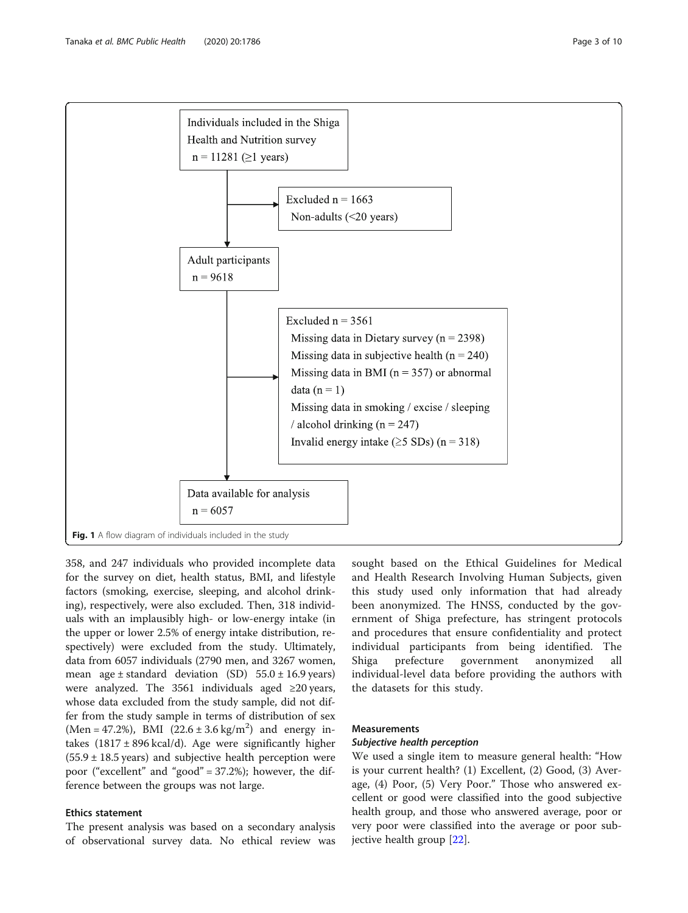

<span id="page-2-0"></span>

358, and 247 individuals who provided incomplete data for the survey on diet, health status, BMI, and lifestyle factors (smoking, exercise, sleeping, and alcohol drinking), respectively, were also excluded. Then, 318 individuals with an implausibly high- or low-energy intake (in the upper or lower 2.5% of energy intake distribution, respectively) were excluded from the study. Ultimately, data from 6057 individuals (2790 men, and 3267 women, mean age  $\pm$  standard deviation (SD) 55.0  $\pm$  16.9 years) were analyzed. The 3561 individuals aged ≥20 years, whose data excluded from the study sample, did not differ from the study sample in terms of distribution of sex  $(Men = 47.2\%)$ , BMI  $(22.6 \pm 3.6 \text{ kg/m}^2)$  and energy intakes  $(1817 \pm 896 \text{ kcal/d})$ . Age were significantly higher  $(55.9 \pm 18.5 \text{ years})$  and subjective health perception were poor ("excellent" and "good" = 37.2%); however, the difference between the groups was not large.

# Ethics statement

The present analysis was based on a secondary analysis of observational survey data. No ethical review was sought based on the Ethical Guidelines for Medical and Health Research Involving Human Subjects, given this study used only information that had already been anonymized. The HNSS, conducted by the government of Shiga prefecture, has stringent protocols and procedures that ensure confidentiality and protect individual participants from being identified. The Shiga prefecture government anonymized all individual-level data before providing the authors with the datasets for this study.

# **Measurements**

# Subjective health perception

We used a single item to measure general health: "How is your current health? (1) Excellent, (2) Good, (3) Average, (4) Poor, (5) Very Poor." Those who answered excellent or good were classified into the good subjective health group, and those who answered average, poor or very poor were classified into the average or poor subjective health group [[22\]](#page-8-0).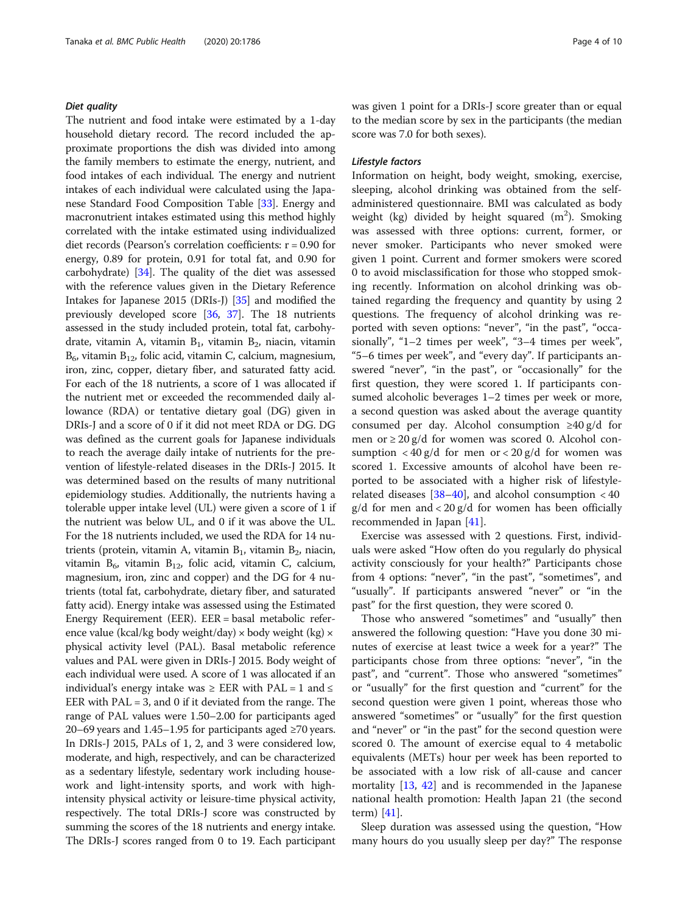# Diet quality

The nutrient and food intake were estimated by a 1-day household dietary record. The record included the approximate proportions the dish was divided into among the family members to estimate the energy, nutrient, and food intakes of each individual. The energy and nutrient intakes of each individual were calculated using the Japanese Standard Food Composition Table [\[33\]](#page-8-0). Energy and macronutrient intakes estimated using this method highly correlated with the intake estimated using individualized diet records (Pearson's correlation coefficients: r = 0.90 for energy, 0.89 for protein, 0.91 for total fat, and 0.90 for carbohydrate) [\[34](#page-8-0)]. The quality of the diet was assessed with the reference values given in the Dietary Reference Intakes for Japanese 2015 (DRIs-J) [\[35\]](#page-8-0) and modified the previously developed score [\[36,](#page-8-0) [37](#page-8-0)]. The 18 nutrients assessed in the study included protein, total fat, carbohydrate, vitamin A, vitamin  $B_1$ , vitamin  $B_2$ , niacin, vitamin  $B<sub>6</sub>$ , vitamin  $B<sub>12</sub>$ , folic acid, vitamin C, calcium, magnesium, iron, zinc, copper, dietary fiber, and saturated fatty acid. For each of the 18 nutrients, a score of 1 was allocated if the nutrient met or exceeded the recommended daily allowance (RDA) or tentative dietary goal (DG) given in DRIs-J and a score of 0 if it did not meet RDA or DG. DG was defined as the current goals for Japanese individuals to reach the average daily intake of nutrients for the prevention of lifestyle-related diseases in the DRIs-J 2015. It was determined based on the results of many nutritional epidemiology studies. Additionally, the nutrients having a tolerable upper intake level (UL) were given a score of 1 if the nutrient was below UL, and 0 if it was above the UL. For the 18 nutrients included, we used the RDA for 14 nutrients (protein, vitamin A, vitamin  $B_1$ , vitamin  $B_2$ , niacin, vitamin  $B_6$ , vitamin  $B_{12}$ , folic acid, vitamin C, calcium, magnesium, iron, zinc and copper) and the DG for 4 nutrients (total fat, carbohydrate, dietary fiber, and saturated fatty acid). Energy intake was assessed using the Estimated Energy Requirement (EER). EER = basal metabolic reference value (kcal/kg body weight/day)  $\times$  body weight (kg)  $\times$ physical activity level (PAL). Basal metabolic reference values and PAL were given in DRIs-J 2015. Body weight of each individual were used. A score of 1 was allocated if an individual's energy intake was  $\geq$  EER with PAL = 1 and  $\leq$ EER with  $PAL = 3$ , and 0 if it deviated from the range. The range of PAL values were 1.50–2.00 for participants aged 20–69 years and 1.45–1.95 for participants aged ≥70 years. In DRIs-J 2015, PALs of 1, 2, and 3 were considered low, moderate, and high, respectively, and can be characterized as a sedentary lifestyle, sedentary work including housework and light-intensity sports, and work with highintensity physical activity or leisure-time physical activity, respectively. The total DRIs-J score was constructed by summing the scores of the 18 nutrients and energy intake. The DRIs-J scores ranged from 0 to 19. Each participant was given 1 point for a DRIs-J score greater than or equal to the median score by sex in the participants (the median score was 7.0 for both sexes).

# Lifestyle factors

Information on height, body weight, smoking, exercise, sleeping, alcohol drinking was obtained from the selfadministered questionnaire. BMI was calculated as body weight (kg) divided by height squared  $(m^2)$ . Smoking was assessed with three options: current, former, or never smoker. Participants who never smoked were given 1 point. Current and former smokers were scored 0 to avoid misclassification for those who stopped smoking recently. Information on alcohol drinking was obtained regarding the frequency and quantity by using 2 questions. The frequency of alcohol drinking was reported with seven options: "never", "in the past", "occasionally", "1–2 times per week", "3–4 times per week", "5–6 times per week", and "every day". If participants answered "never", "in the past", or "occasionally" for the first question, they were scored 1. If participants consumed alcoholic beverages 1–2 times per week or more, a second question was asked about the average quantity consumed per day. Alcohol consumption ≥40 g/d for men or ≥ 20 g/d for women was scored 0. Alcohol consumption  $\langle 40 \text{ g/d} \rangle$  for men or  $\langle 20 \text{ g/d} \rangle$  for women was scored 1. Excessive amounts of alcohol have been reported to be associated with a higher risk of lifestylerelated diseases  $[38–40]$  $[38–40]$  $[38–40]$  $[38–40]$  $[38–40]$ , and alcohol consumption < 40  $g/d$  for men and < 20  $g/d$  for women has been officially recommended in Japan [[41\]](#page-8-0).

Exercise was assessed with 2 questions. First, individuals were asked "How often do you regularly do physical activity consciously for your health?" Participants chose from 4 options: "never", "in the past", "sometimes", and "usually". If participants answered "never" or "in the past" for the first question, they were scored 0.

Those who answered "sometimes" and "usually" then answered the following question: "Have you done 30 minutes of exercise at least twice a week for a year?" The participants chose from three options: "never", "in the past", and "current". Those who answered "sometimes" or "usually" for the first question and "current" for the second question were given 1 point, whereas those who answered "sometimes" or "usually" for the first question and "never" or "in the past" for the second question were scored 0. The amount of exercise equal to 4 metabolic equivalents (METs) hour per week has been reported to be associated with a low risk of all-cause and cancer mortality [\[13](#page-8-0), [42](#page-9-0)] and is recommended in the Japanese national health promotion: Health Japan 21 (the second term) [\[41](#page-8-0)].

Sleep duration was assessed using the question, "How many hours do you usually sleep per day?" The response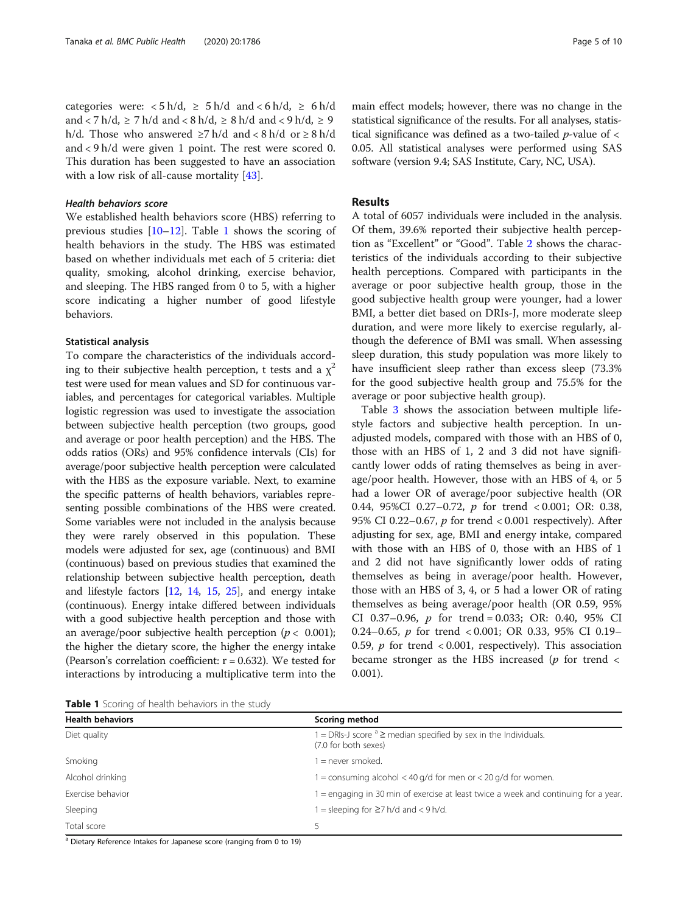categories were:  $\langle 5 \text{ h/d}, \geq 5 \text{ h/d} \text{ and } \langle 6 \text{ h/d}, \geq 6 \text{ h/d} \rangle$ and  $\langle 7 \text{ h}/\text{d}, 2 \rangle$  7 h/d and  $\langle 8 \text{ h}/\text{d}, 2 \rangle$  8 h/d and  $\langle 9 \text{ h}/\text{d}, 2 \rangle$ h/d. Those who answered  $≥7$  h/d and  $< 8$  h/d or  $≥ 8$  h/d and < 9 h/d were given 1 point. The rest were scored 0. This duration has been suggested to have an association with a low risk of all-cause mortality [[43\]](#page-9-0).

## Health behaviors score

We established health behaviors score (HBS) referring to previous studies [\[10](#page-8-0)–[12\]](#page-8-0). Table 1 shows the scoring of health behaviors in the study. The HBS was estimated based on whether individuals met each of 5 criteria: diet quality, smoking, alcohol drinking, exercise behavior, and sleeping. The HBS ranged from 0 to 5, with a higher score indicating a higher number of good lifestyle behaviors.

# Statistical analysis

To compare the characteristics of the individuals according to their subjective health perception, t tests and a  $\chi^2$ test were used for mean values and SD for continuous variables, and percentages for categorical variables. Multiple logistic regression was used to investigate the association between subjective health perception (two groups, good and average or poor health perception) and the HBS. The odds ratios (ORs) and 95% confidence intervals (CIs) for average/poor subjective health perception were calculated with the HBS as the exposure variable. Next, to examine the specific patterns of health behaviors, variables representing possible combinations of the HBS were created. Some variables were not included in the analysis because they were rarely observed in this population. These models were adjusted for sex, age (continuous) and BMI (continuous) based on previous studies that examined the relationship between subjective health perception, death and lifestyle factors [[12](#page-8-0), [14](#page-8-0), [15,](#page-8-0) [25](#page-8-0)], and energy intake (continuous). Energy intake differed between individuals with a good subjective health perception and those with an average/poor subjective health perception ( $p < 0.001$ ); the higher the dietary score, the higher the energy intake (Pearson's correlation coefficient:  $r = 0.632$ ). We tested for interactions by introducing a multiplicative term into the main effect models; however, there was no change in the statistical significance of the results. For all analyses, statistical significance was defined as a two-tailed  $p$ -value of  $\lt$ 0.05. All statistical analyses were performed using SAS software (version 9.4; SAS Institute, Cary, NC, USA).

# Results

A total of 6057 individuals were included in the analysis. Of them, 39.6% reported their subjective health perception as "Excellent" or "Good". Table [2](#page-5-0) shows the characteristics of the individuals according to their subjective health perceptions. Compared with participants in the average or poor subjective health group, those in the good subjective health group were younger, had a lower BMI, a better diet based on DRIs-J, more moderate sleep duration, and were more likely to exercise regularly, although the deference of BMI was small. When assessing sleep duration, this study population was more likely to have insufficient sleep rather than excess sleep (73.3% for the good subjective health group and 75.5% for the average or poor subjective health group).

Table [3](#page-5-0) shows the association between multiple lifestyle factors and subjective health perception. In unadjusted models, compared with those with an HBS of 0, those with an HBS of 1, 2 and 3 did not have significantly lower odds of rating themselves as being in average/poor health. However, those with an HBS of 4, or 5 had a lower OR of average/poor subjective health (OR 0.44, 95%CI 0.27–0.72, p for trend < 0.001; OR: 0.38, 95% CI 0.22–0.67, p for trend < 0.001 respectively). After adjusting for sex, age, BMI and energy intake, compared with those with an HBS of 0, those with an HBS of 1 and 2 did not have significantly lower odds of rating themselves as being in average/poor health. However, those with an HBS of 3, 4, or 5 had a lower OR of rating themselves as being average/poor health (OR 0.59, 95% CI 0.37–0.96,  $p$  for trend = 0.033; OR: 0.40, 95% CI 0.24–0.65, p for trend < 0.001; OR 0.33, 95% CI 0.19– 0.59,  $p$  for trend < 0.001, respectively). This association became stronger as the HBS increased ( $p$  for trend  $\lt$ 0.001).

Table 1 Scoring of health behaviors in the study

| <b>Health behaviors</b> | Scoring method                                                                                   |
|-------------------------|--------------------------------------------------------------------------------------------------|
| Diet quality            | $1 = DR/s$ -J score $a \geq$ median specified by sex in the Individuals.<br>(7.0 for both sexes) |
| Smoking                 | l = never smoked.                                                                                |
| Alcohol drinking        | 1 = consuming alcohol < 40 g/d for men or < 20 g/d for women.                                    |
| Exercise behavior       | 1 = engaging in 30 min of exercise at least twice a week and continuing for a year.              |
| Sleeping                | $1 =$ sleeping for $\geq 7$ h/d and $< 9$ h/d.                                                   |
| Total score             |                                                                                                  |

<sup>a</sup> Dietary Reference Intakes for Japanese score (ranging from 0 to 19)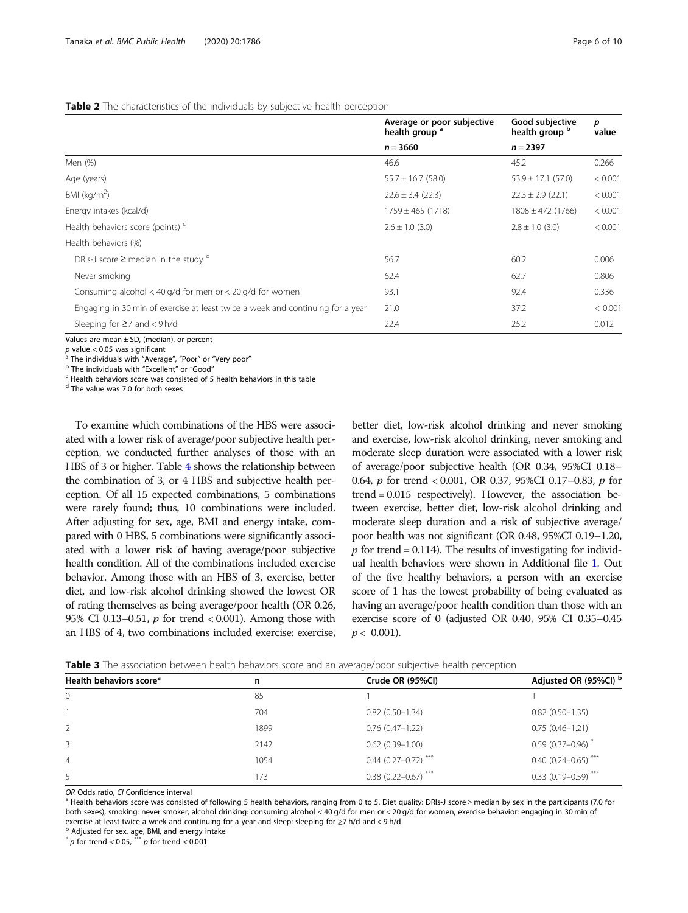### <span id="page-5-0"></span>Table 2 The characteristics of the individuals by subjective health perception

|                                                                                | Average or poor subjective<br>health group <sup>a</sup> | Good subjective<br>health group b | p<br>value |  |
|--------------------------------------------------------------------------------|---------------------------------------------------------|-----------------------------------|------------|--|
|                                                                                | $n = 3660$                                              | $n = 2397$                        |            |  |
| Men (%)                                                                        | 46.6                                                    | 45.2                              | 0.266      |  |
| Age (years)                                                                    | $55.7 \pm 16.7$ (58.0)                                  | $53.9 \pm 17.1$ (57.0)            | < 0.001    |  |
| BMI ( $\text{kg/m}^2$ )                                                        | $22.6 \pm 3.4$ (22.3)                                   | $22.3 \pm 2.9$ (22.1)             | < 0.001    |  |
| Energy intakes (kcal/d)                                                        | 1759 ± 465 (1718)                                       | $1808 \pm 472$ (1766)             | < 0.001    |  |
| Health behaviors score (points) <sup>c</sup>                                   | $2.6 \pm 1.0$ (3.0)                                     | $2.8 \pm 1.0$ (3.0)               | < 0.001    |  |
| Health behaviors (%)                                                           |                                                         |                                   |            |  |
| DRIs-J score $\geq$ median in the study $^d$                                   | 56.7                                                    | 60.2                              | 0.006      |  |
| Never smoking                                                                  | 62.4                                                    | 62.7                              | 0.806      |  |
| Consuming alcohol $<$ 40 g/d for men or $<$ 20 g/d for women                   | 93.1                                                    | 92.4                              | 0.336      |  |
| Engaging in 30 min of exercise at least twice a week and continuing for a year | 21.0                                                    | 37.2                              | < 0.001    |  |
| Sleeping for $\geq$ and $<$ 9 h/d                                              | 22.4                                                    | 25.2                              | 0.012      |  |

Values are mean  $\pm$  SD, (median), or percent *p* value < 0.05 was significant

<sup>a</sup> The individuals with "Average", "Poor" or "Very poor"<br><sup>b</sup> The individuals with "Excellent" or "Good"<br><sup>c</sup> Health behaviors score was consisted of 5 health behaviors in this table

<sup>d</sup> The value was 7.0 for both sexes

To examine which combinations of the HBS were associated with a lower risk of average/poor subjective health perception, we conducted further analyses of those with an HBS of 3 or higher. Table [4](#page-6-0) shows the relationship between the combination of 3, or 4 HBS and subjective health perception. Of all 15 expected combinations, 5 combinations were rarely found; thus, 10 combinations were included. After adjusting for sex, age, BMI and energy intake, compared with 0 HBS, 5 combinations were significantly associated with a lower risk of having average/poor subjective health condition. All of the combinations included exercise behavior. Among those with an HBS of 3, exercise, better diet, and low-risk alcohol drinking showed the lowest OR of rating themselves as being average/poor health (OR 0.26, 95% CI 0.13–0.51,  $p$  for trend < 0.001). Among those with an HBS of 4, two combinations included exercise: exercise,

better diet, low-risk alcohol drinking and never smoking and exercise, low-risk alcohol drinking, never smoking and moderate sleep duration were associated with a lower risk of average/poor subjective health (OR 0.34, 95%CI 0.18– 0.64, p for trend < 0.001, OR 0.37, 95%CI 0.17–0.83, p for trend = 0.015 respectively). However, the association between exercise, better diet, low-risk alcohol drinking and moderate sleep duration and a risk of subjective average/ poor health was not significant (OR 0.48, 95%CI 0.19–1.20, p for trend = 0.114). The results of investigating for individual health behaviors were shown in Additional file [1](#page-7-0). Out of the five healthy behaviors, a person with an exercise score of 1 has the lowest probability of being evaluated as having an average/poor health condition than those with an exercise score of 0 (adjusted OR 0.40, 95% CI 0.35–0.45  $p < 0.001$ ).

| Table 3 The association between health behaviors score and an average/poor subjective health perception |  |  |  |
|---------------------------------------------------------------------------------------------------------|--|--|--|
|---------------------------------------------------------------------------------------------------------|--|--|--|

| Health behaviors score <sup>a</sup> | n    | Crude OR (95%CI)                  | Adjusted OR (95%CI) b   |
|-------------------------------------|------|-----------------------------------|-------------------------|
| $\mathbf 0$                         | 85   |                                   |                         |
|                                     | 704  | $0.82(0.50 - 1.34)$               | $0.82(0.50-1.35)$       |
| 2                                   | 1899 | $0.76$ (0.47-1.22)                | $0.75(0.46 - 1.21)$     |
| 3                                   | 2142 | $0.62(0.39 - 1.00)$               | $0.59(0.37 - 0.96)$     |
| $\overline{4}$                      | 1054 | $0.44$ (0.27-0.72) <sup>***</sup> | $0.40(0.24 - 0.65)$ *** |
| 5                                   | 173  | $0.38(0.22 - 0.67)$               | $0.33(0.19 - 0.59)$     |
|                                     |      |                                   |                         |

OR Odds ratio, CI Confidence interval<br><sup>a</sup> Health behaviors score was consisted of following 5 health behaviors, ranging from 0 to 5. Diet quality: DRIs-J score ≥ median by sex in the participants (7.0 for both sexes), smoking: never smoker, alcohol drinking: consuming alcohol < 40 g/d for men or < 20 g/d for women, exercise behavior: engaging in 30 min of exercise at least twice a week and continuing for a year and sleep: sleeping for  $\geq$ 7 h/d and < 9 h/d b Adjusted for sex, age, BMI, and energy intake

 $\frac{1}{p}$  for trend < 0.05,  $\frac{1}{p}$  for trend < 0.001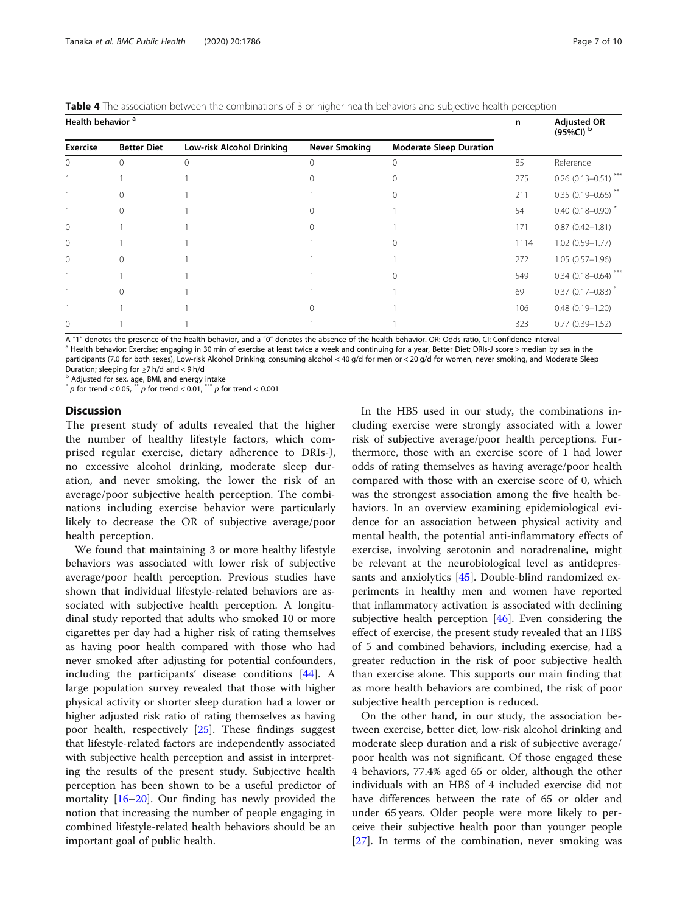<span id="page-6-0"></span>Tanaka et al. BMC Public Health (2020) 20:1786 Page 7 of 10

|  |  | <b>Table 4</b> The association between the combinations of 3 or higher health behaviors and subiective health perception |  |  |  |  |  |  |
|--|--|--------------------------------------------------------------------------------------------------------------------------|--|--|--|--|--|--|
|  |  |                                                                                                                          |  |  |  |  |  |  |

| Health behavior <sup>a</sup> | n                  | <b>Adjusted OR</b><br>(95%CI) <sup>b</sup> |                      |                                |      |                                   |
|------------------------------|--------------------|--------------------------------------------|----------------------|--------------------------------|------|-----------------------------------|
| <b>Exercise</b>              | <b>Better Diet</b> | Low-risk Alcohol Drinking                  | <b>Never Smoking</b> | <b>Moderate Sleep Duration</b> |      |                                   |
| $\Omega$                     | $\Omega$           | 0                                          |                      | $\Omega$                       | 85   | Reference                         |
|                              |                    |                                            |                      | 0                              | 275  | $0.26$ (0.13-0.51) <sup>***</sup> |
|                              |                    |                                            |                      |                                | 211  | $0.35(0.19 - 0.66)$ <sup>**</sup> |
|                              |                    |                                            |                      |                                | 54   | $0.40(0.18 - 0.90)^{*}$           |
| $\mathbf{0}$                 |                    |                                            |                      |                                | 171  | $0.87(0.42 - 1.81)$               |
| $\Omega$                     |                    |                                            |                      |                                | 1114 | $1.02(0.59 - 1.77)$               |
| $\mathbf{0}$                 | $\cap$             |                                            |                      |                                | 272  | $1.05(0.57-1.96)$                 |
|                              |                    |                                            |                      |                                | 549  | $0.34$ (0.18-0.64) <sup>***</sup> |
|                              |                    |                                            |                      |                                | 69   | $0.37(0.17-0.83)^*$               |
|                              |                    |                                            |                      |                                | 106  | $0.48(0.19 - 1.20)$               |
| $\Omega$                     |                    |                                            |                      |                                | 323  | $0.77(0.39 - 1.52)$               |

A "1" denotes the presence of the health behavior, and a "0" denotes the absence of the health behavior. OR: Odds ratio, CI: Confidence interval<br><sup>a</sup> Health behavior: Exercise; engaging in 30 min of exercise at least twice participants (7.0 for both sexes), Low-risk Alcohol Drinking; consuming alcohol < 40 g/d for men or < 20 g/d for women, never smoking, and Moderate Sleep

Duration; sleeping for ≥7 h/d and < 9 h/d<br>  $\overline{ }$  b Adjusted for sex, age, BMI, and energy intake<br>  $\overline{ }$  p for trend < 0.05,  $\overline{ }$  p for trend < 0.01,  $\overline{ }$  p for trend < 0.001 p for trend < 0.05,  $\frac{1}{x}$  p for trend < 0.01,  $\frac{1}{x}$ 

# **Discussion**

The present study of adults revealed that the higher the number of healthy lifestyle factors, which comprised regular exercise, dietary adherence to DRIs-J, no excessive alcohol drinking, moderate sleep duration, and never smoking, the lower the risk of an average/poor subjective health perception. The combinations including exercise behavior were particularly likely to decrease the OR of subjective average/poor health perception.

We found that maintaining 3 or more healthy lifestyle behaviors was associated with lower risk of subjective average/poor health perception. Previous studies have shown that individual lifestyle-related behaviors are associated with subjective health perception. A longitudinal study reported that adults who smoked 10 or more cigarettes per day had a higher risk of rating themselves as having poor health compared with those who had never smoked after adjusting for potential confounders, including the participants' disease conditions [\[44](#page-9-0)]. A large population survey revealed that those with higher physical activity or shorter sleep duration had a lower or higher adjusted risk ratio of rating themselves as having poor health, respectively [\[25\]](#page-8-0). These findings suggest that lifestyle-related factors are independently associated with subjective health perception and assist in interpreting the results of the present study. Subjective health perception has been shown to be a useful predictor of mortality [[16](#page-8-0)–[20](#page-8-0)]. Our finding has newly provided the notion that increasing the number of people engaging in combined lifestyle-related health behaviors should be an important goal of public health.

In the HBS used in our study, the combinations including exercise were strongly associated with a lower risk of subjective average/poor health perceptions. Furthermore, those with an exercise score of 1 had lower odds of rating themselves as having average/poor health compared with those with an exercise score of 0, which was the strongest association among the five health behaviors. In an overview examining epidemiological evidence for an association between physical activity and mental health, the potential anti-inflammatory effects of exercise, involving serotonin and noradrenaline, might be relevant at the neurobiological level as antidepressants and anxiolytics [\[45](#page-9-0)]. Double-blind randomized experiments in healthy men and women have reported that inflammatory activation is associated with declining subjective health perception [\[46\]](#page-9-0). Even considering the effect of exercise, the present study revealed that an HBS of 5 and combined behaviors, including exercise, had a greater reduction in the risk of poor subjective health than exercise alone. This supports our main finding that as more health behaviors are combined, the risk of poor subjective health perception is reduced.

On the other hand, in our study, the association between exercise, better diet, low-risk alcohol drinking and moderate sleep duration and a risk of subjective average/ poor health was not significant. Of those engaged these 4 behaviors, 77.4% aged 65 or older, although the other individuals with an HBS of 4 included exercise did not have differences between the rate of 65 or older and under 65 years. Older people were more likely to perceive their subjective health poor than younger people [[27\]](#page-8-0). In terms of the combination, never smoking was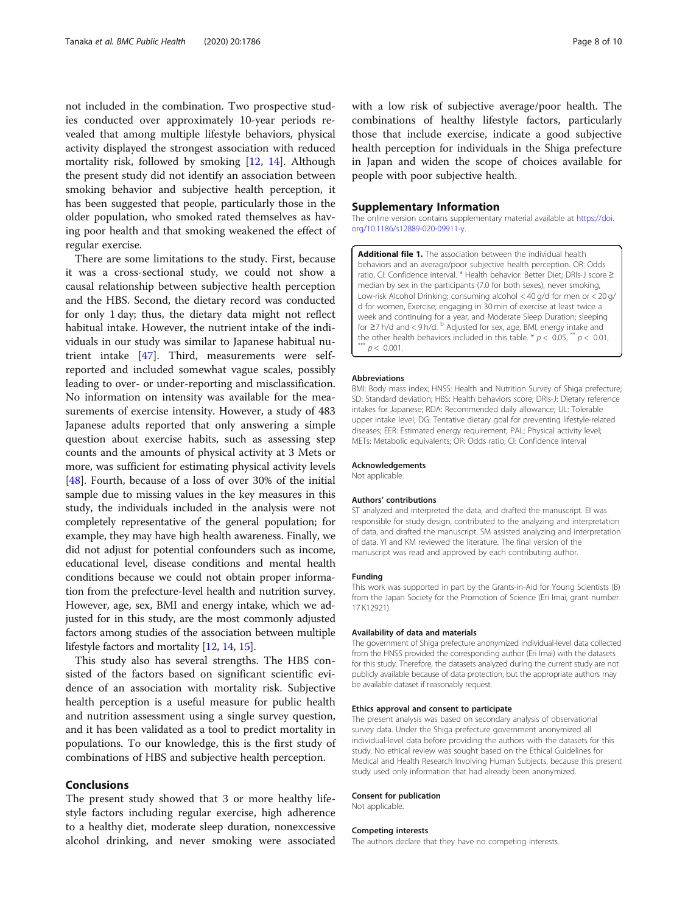<span id="page-7-0"></span>not included in the combination. Two prospective studies conducted over approximately 10-year periods revealed that among multiple lifestyle behaviors, physical activity displayed the strongest association with reduced mortality risk, followed by smoking [[12,](#page-8-0) [14](#page-8-0)]. Although the present study did not identify an association between smoking behavior and subjective health perception, it has been suggested that people, particularly those in the older population, who smoked rated themselves as having poor health and that smoking weakened the effect of regular exercise.

There are some limitations to the study. First, because it was a cross-sectional study, we could not show a causal relationship between subjective health perception and the HBS. Second, the dietary record was conducted for only 1 day; thus, the dietary data might not reflect habitual intake. However, the nutrient intake of the individuals in our study was similar to Japanese habitual nutrient intake [[47\]](#page-9-0). Third, measurements were selfreported and included somewhat vague scales, possibly leading to over- or under-reporting and misclassification. No information on intensity was available for the measurements of exercise intensity. However, a study of 483 Japanese adults reported that only answering a simple question about exercise habits, such as assessing step counts and the amounts of physical activity at 3 Mets or more, was sufficient for estimating physical activity levels [[48\]](#page-9-0). Fourth, because of a loss of over 30% of the initial sample due to missing values in the key measures in this study, the individuals included in the analysis were not completely representative of the general population; for example, they may have high health awareness. Finally, we did not adjust for potential confounders such as income, educational level, disease conditions and mental health conditions because we could not obtain proper information from the prefecture-level health and nutrition survey. However, age, sex, BMI and energy intake, which we adjusted for in this study, are the most commonly adjusted factors among studies of the association between multiple lifestyle factors and mortality [\[12,](#page-8-0) [14](#page-8-0), [15\]](#page-8-0).

This study also has several strengths. The HBS consisted of the factors based on significant scientific evidence of an association with mortality risk. Subjective health perception is a useful measure for public health and nutrition assessment using a single survey question, and it has been validated as a tool to predict mortality in populations. To our knowledge, this is the first study of combinations of HBS and subjective health perception.

# Conclusions

The present study showed that 3 or more healthy lifestyle factors including regular exercise, high adherence to a healthy diet, moderate sleep duration, nonexcessive alcohol drinking, and never smoking were associated with a low risk of subjective average/poor health. The combinations of healthy lifestyle factors, particularly those that include exercise, indicate a good subjective health perception for individuals in the Shiga prefecture in Japan and widen the scope of choices available for people with poor subjective health.

# Supplementary Information

The online version contains supplementary material available at [https://doi.](https://doi.org/10.1186/s12889-020-09911-y) [org/10.1186/s12889-020-09911-y](https://doi.org/10.1186/s12889-020-09911-y).

Additional file 1. The association between the individual health behaviors and an average/poor subjective health perception. OR: Odds ratio, CI: Confidence interval. <sup>a</sup> Health behavior: Better Diet; DRIs-J score ≥ median by sex in the participants (7.0 for both sexes), never smoking, Low-risk Alcohol Drinking; consuming alcohol < 40 g/d for men or < 20 g/ d for women, Exercise; engaging in 30 min of exercise at least twice a week and continuing for a year, and Moderate Sleep Duration; sleeping for ≥7 h/d and < 9 h/d. <sup>b</sup> Adjusted for sex, age, BMI, energy intake and the other health behaviors included in this table. \*  $p < 0.05$ , \*\*  $p < 0.01$ , \*\*  $p < 0.001$ .

#### Abbreviations

BMI: Body mass index; HNSS: Health and Nutrition Survey of Shiga prefecture; SD: Standard deviation; HBS: Health behaviors score; DRIs-J: Dietary reference intakes for Japanese; RDA: Recommended daily allowance; UL: Tolerable upper intake level; DG: Tentative dietary goal for preventing lifestyle-related diseases; EER: Estimated energy requirement; PAL: Physical activity level; METs: Metabolic equivalents; OR: Odds ratio; CI: Confidence interval

#### Acknowledgements

Not applicable.

#### Authors' contributions

ST analyzed and interpreted the data, and drafted the manuscript. EI was responsible for study design, contributed to the analyzing and interpretation of data, and drafted the manuscript. SM assisted analyzing and interpretation of data. YI and KM reviewed the literature. The final version of the manuscript was read and approved by each contributing author.

# Funding

This work was supported in part by the Grants-in-Aid for Young Scientists (B) from the Japan Society for the Promotion of Science (Eri Imai, grant number 17 K12921).

# Availability of data and materials

The government of Shiga prefecture anonymized individual-level data collected from the HNSS provided the corresponding author (Eri Imai) with the datasets for this study. Therefore, the datasets analyzed during the current study are not publicly available because of data protection, but the appropriate authors may be available dataset if reasonably request.

# Ethics approval and consent to participate

The present analysis was based on secondary analysis of observational survey data. Under the Shiga prefecture government anonymized all individual-level data before providing the authors with the datasets for this study. No ethical review was sought based on the Ethical Guidelines for Medical and Health Research Involving Human Subjects, because this present study used only information that had already been anonymized.

#### Consent for publication

Not applicable.

#### Competing interests

The authors declare that they have no competing interests.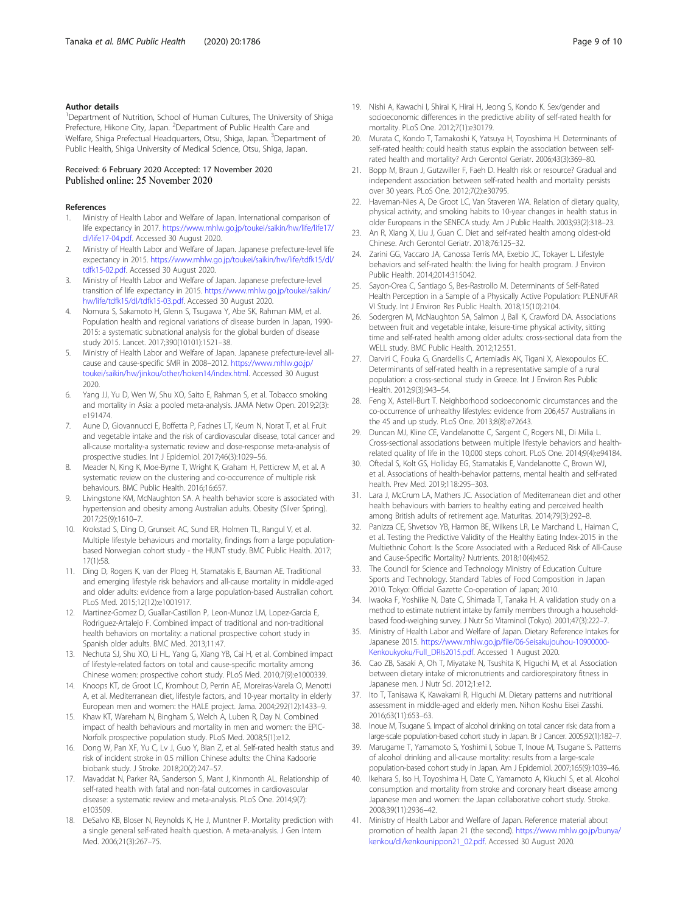# <span id="page-8-0"></span>Author details

<sup>1</sup>Department of Nutrition, School of Human Cultures, The University of Shiga Prefecture, Hikone City, Japan. <sup>2</sup>Department of Public Health Care and Welfare, Shiga Prefectual Headquarters, Otsu, Shiga, Japan. <sup>3</sup>Department of Public Health, Shiga University of Medical Science, Otsu, Shiga, Japan.

# Received: 6 February 2020 Accepted: 17 November 2020 Published online: 25 November 2020

### References

- 1. Ministry of Health Labor and Welfare of Japan. International comparison of life expectancy in 2017. [https://www.mhlw.go.jp/toukei/saikin/hw/life/life17/](https://www.mhlw.go.jp/toukei/saikin/hw/life/life17/dl/life17-04.pdf) [dl/life17-04.pdf](https://www.mhlw.go.jp/toukei/saikin/hw/life/life17/dl/life17-04.pdf). Accessed 30 August 2020.
- 2. Ministry of Health Labor and Welfare of Japan. Japanese prefecture-level life expectancy in 2015. [https://www.mhlw.go.jp/toukei/saikin/hw/life/tdfk15/dl/](https://www.mhlw.go.jp/toukei/saikin/hw/life/tdfk15/dl/tdfk15-02.pdf) [tdfk15-02.pdf](https://www.mhlw.go.jp/toukei/saikin/hw/life/tdfk15/dl/tdfk15-02.pdf). Accessed 30 August 2020.
- 3. Ministry of Health Labor and Welfare of Japan. Japanese prefecture-level transition of life expectancy in 2015. [https://www.mhlw.go.jp/toukei/saikin/](https://www.mhlw.go.jp/toukei/saikin/hw/life/tdfk15/dl/tdfk15-03.pdf) [hw/life/tdfk15/dl/tdfk15-03.pdf.](https://www.mhlw.go.jp/toukei/saikin/hw/life/tdfk15/dl/tdfk15-03.pdf) Accessed 30 August 2020.
- 4. Nomura S, Sakamoto H, Glenn S, Tsugawa Y, Abe SK, Rahman MM, et al. Population health and regional variations of disease burden in Japan, 1990- 2015: a systematic subnational analysis for the global burden of disease study 2015. Lancet. 2017;390(10101):1521–38.
- Ministry of Health Labor and Welfare of Japan. Japanese prefecture-level allcause and cause-specific SMR in 2008–2012. [https://www.mhlw.go.jp/](https://www.mhlw.go.jp/toukei/saikin/hw/jinkou/other/hoken14/index.html) [toukei/saikin/hw/jinkou/other/hoken14/index.html](https://www.mhlw.go.jp/toukei/saikin/hw/jinkou/other/hoken14/index.html). Accessed 30 August 2020.
- Yang JJ, Yu D, Wen W, Shu XO, Saito E, Rahman S, et al. Tobacco smoking and mortality in Asia: a pooled meta-analysis. JAMA Netw Open. 2019;2(3): e191474.
- Aune D, Giovannucci E, Boffetta P, Fadnes LT, Keum N, Norat T, et al. Fruit and vegetable intake and the risk of cardiovascular disease, total cancer and all-cause mortality-a systematic review and dose-response meta-analysis of prospective studies. Int J Epidemiol. 2017;46(3):1029–56.
- 8. Meader N, King K, Moe-Byrne T, Wright K, Graham H, Petticrew M, et al. A systematic review on the clustering and co-occurrence of multiple risk behaviours. BMC Public Health. 2016;16:657.
- Livingstone KM, McNaughton SA. A health behavior score is associated with hypertension and obesity among Australian adults. Obesity (Silver Spring). 2017;25(9):1610–7.
- 10. Krokstad S, Ding D, Grunseit AC, Sund ER, Holmen TL, Rangul V, et al. Multiple lifestyle behaviours and mortality, findings from a large populationbased Norwegian cohort study - the HUNT study. BMC Public Health. 2017; 17(1):58.
- 11. Ding D, Rogers K, van der Ploeg H, Stamatakis E, Bauman AE. Traditional and emerging lifestyle risk behaviors and all-cause mortality in middle-aged and older adults: evidence from a large population-based Australian cohort. PLoS Med. 2015;12(12):e1001917.
- 12. Martinez-Gomez D, Guallar-Castillon P, Leon-Munoz LM, Lopez-Garcia E, Rodriguez-Artalejo F. Combined impact of traditional and non-traditional health behaviors on mortality: a national prospective cohort study in Spanish older adults. BMC Med. 2013;11:47.
- 13. Nechuta SJ, Shu XO, Li HL, Yang G, Xiang YB, Cai H, et al. Combined impact of lifestyle-related factors on total and cause-specific mortality among Chinese women: prospective cohort study. PLoS Med. 2010;7(9):e1000339.
- 14. Knoops KT, de Groot LC, Kromhout D, Perrin AE, Moreiras-Varela O, Menotti A, et al. Mediterranean diet, lifestyle factors, and 10-year mortality in elderly European men and women: the HALE project. Jama. 2004;292(12):1433–9.
- 15. Khaw KT, Wareham N, Bingham S, Welch A, Luben R, Day N. Combined impact of health behaviours and mortality in men and women: the EPIC-Norfolk prospective population study. PLoS Med. 2008;5(1):e12.
- 16. Dong W, Pan XF, Yu C, Lv J, Guo Y, Bian Z, et al. Self-rated health status and risk of incident stroke in 0.5 million Chinese adults: the China Kadoorie biobank study. J Stroke. 2018;20(2):247–57.
- 17. Mavaddat N, Parker RA, Sanderson S, Mant J, Kinmonth AL. Relationship of self-rated health with fatal and non-fatal outcomes in cardiovascular disease: a systematic review and meta-analysis. PLoS One. 2014;9(7): e103509.
- 18. DeSalvo KB, Bloser N, Reynolds K, He J, Muntner P. Mortality prediction with a single general self-rated health question. A meta-analysis. J Gen Intern Med. 2006;21(3):267–75.
- 19. Nishi A, Kawachi I, Shirai K, Hirai H, Jeong S, Kondo K. Sex/gender and socioeconomic differences in the predictive ability of self-rated health for mortality. PLoS One. 2012;7(1):e30179.
- 20. Murata C, Kondo T, Tamakoshi K, Yatsuya H, Toyoshima H. Determinants of self-rated health: could health status explain the association between selfrated health and mortality? Arch Gerontol Geriatr. 2006;43(3):369–80.
- 21. Bopp M, Braun J, Gutzwiller F, Faeh D. Health risk or resource? Gradual and independent association between self-rated health and mortality persists over 30 years. PLoS One. 2012;7(2):e30795.
- 22. Haveman-Nies A, De Groot LC, Van Staveren WA. Relation of dietary quality, physical activity, and smoking habits to 10-year changes in health status in older Europeans in the SENECA study. Am J Public Health. 2003;93(2):318–23.
- 23. An R, Xiang X, Liu J, Guan C. Diet and self-rated health among oldest-old Chinese. Arch Gerontol Geriatr. 2018;76:125–32.
- 24. Zarini GG, Vaccaro JA, Canossa Terris MA, Exebio JC, Tokayer L. Lifestyle behaviors and self-rated health: the living for health program. J Environ Public Health. 2014;2014:315042.
- 25. Sayon-Orea C, Santiago S, Bes-Rastrollo M. Determinants of Self-Rated Health Perception in a Sample of a Physically Active Population: PLENUFAR VI Study. Int J Environ Res Public Health. 2018;15(10):2104.
- 26. Sodergren M, McNaughton SA, Salmon J, Ball K, Crawford DA. Associations between fruit and vegetable intake, leisure-time physical activity, sitting time and self-rated health among older adults: cross-sectional data from the WELL study. BMC Public Health. 2012;12:551.
- 27. Darviri C, Fouka G, Gnardellis C, Artemiadis AK, Tigani X, Alexopoulos EC. Determinants of self-rated health in a representative sample of a rural population: a cross-sectional study in Greece. Int J Environ Res Public Health. 2012;9(3):943–54.
- 28. Feng X, Astell-Burt T. Neighborhood socioeconomic circumstances and the co-occurrence of unhealthy lifestyles: evidence from 206,457 Australians in the 45 and up study. PLoS One. 2013;8(8):e72643.
- 29. Duncan MJ, Kline CE, Vandelanotte C, Sargent C, Rogers NL, Di Milia L. Cross-sectional associations between multiple lifestyle behaviors and healthrelated quality of life in the 10,000 steps cohort. PLoS One. 2014;9(4):e94184.
- 30. Oftedal S, Kolt GS, Holliday EG, Stamatakis E, Vandelanotte C, Brown WJ, et al. Associations of health-behavior patterns, mental health and self-rated health. Prev Med. 2019;118:295–303.
- 31. Lara J, McCrum LA, Mathers JC. Association of Mediterranean diet and other health behaviours with barriers to healthy eating and perceived health among British adults of retirement age. Maturitas. 2014;79(3):292–8.
- 32. Panizza CE, Shvetsov YB, Harmon BE, Wilkens LR, Le Marchand L, Haiman C, et al. Testing the Predictive Validity of the Healthy Eating Index-2015 in the Multiethnic Cohort: Is the Score Associated with a Reduced Risk of All-Cause and Cause-Specific Mortality? Nutrients. 2018;10(4):452.
- 33. The Council for Science and Technology Ministry of Education Culture Sports and Technology. Standard Tables of Food Composition in Japan 2010. Tokyo: Official Gazette Co-operation of Japan; 2010.
- 34. Iwaoka F, Yoshiike N, Date C, Shimada T, Tanaka H. A validation study on a method to estimate nutrient intake by family members through a householdbased food-weighing survey. J Nutr Sci Vitaminol (Tokyo). 2001;47(3):222–7.
- 35. Ministry of Health Labor and Welfare of Japan. Dietary Reference Intakes for Japanese 2015. [https://www.mhlw.go.jp/file/06-Seisakujouhou-10900000-](https://www.mhlw.go.jp/file/06-Seisakujouhou-10900000-Kenkoukyoku/Full_DRIs2015.pdf) [Kenkoukyoku/Full\\_DRIs2015.pdf](https://www.mhlw.go.jp/file/06-Seisakujouhou-10900000-Kenkoukyoku/Full_DRIs2015.pdf). Accessed 1 August 2020.
- 36. Cao ZB, Sasaki A, Oh T, Miyatake N, Tsushita K, Higuchi M, et al. Association between dietary intake of micronutrients and cardiorespiratory fitness in Japanese men. J Nutr Sci. 2012;1:e12.
- 37. Ito T, Tanisawa K, Kawakami R, Higuchi M. Dietary patterns and nutritional assessment in middle-aged and elderly men. Nihon Koshu Eisei Zasshi. 2016;63(11):653–63.
- 38. Inoue M, Tsugane S. Impact of alcohol drinking on total cancer risk: data from a large-scale population-based cohort study in Japan. Br J Cancer. 2005;92(1):182–7.
- 39. Marugame T, Yamamoto S, Yoshimi I, Sobue T, Inoue M, Tsugane S. Patterns of alcohol drinking and all-cause mortality: results from a large-scale population-based cohort study in Japan. Am J Epidemiol. 2007;165(9):1039–46.
- 40. Ikehara S, Iso H, Toyoshima H, Date C, Yamamoto A, Kikuchi S, et al. Alcohol consumption and mortality from stroke and coronary heart disease among Japanese men and women: the Japan collaborative cohort study. Stroke. 2008;39(11):2936–42.
- 41. Ministry of Health Labor and Welfare of Japan. Reference material about promotion of health Japan 21 (the second). [https://www.mhlw.go.jp/bunya/](https://www.mhlw.go.jp/bunya/kenkou/dl/kenkounippon21_02.pdf) [kenkou/dl/kenkounippon21\\_02.pdf.](https://www.mhlw.go.jp/bunya/kenkou/dl/kenkounippon21_02.pdf) Accessed 30 August 2020.